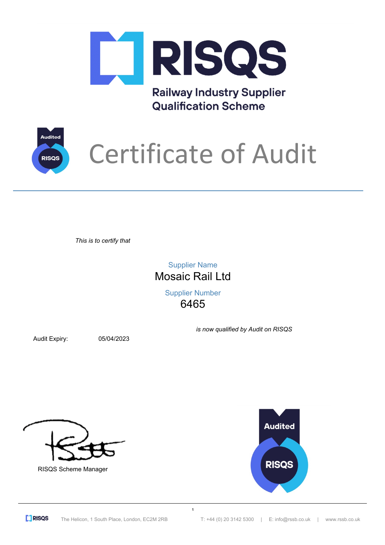

**Railway Industry Supplier Qualification Scheme** 



## Certificate of Audit

*This is to certify that*

Mosaic Rail Ltd Supplier Name

> 6465 Supplier Number

> > **1**

Audit Expiry: 05/04/2023

*is now qualified by Audit on RISQS*







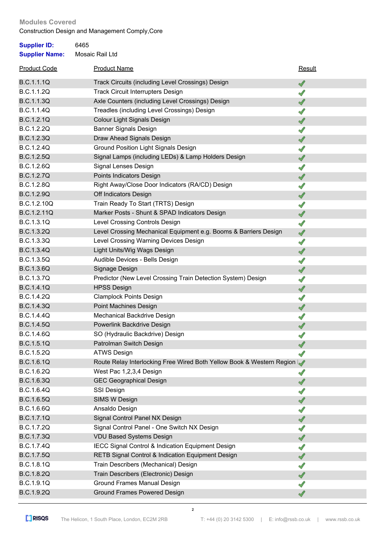## **Modules Covered**

Construction Design and Management Comply,Core

| <b>Supplier ID:</b><br><b>Supplier Name:</b> | 6465<br>Mosaic Rail Ltd                                               |               |
|----------------------------------------------|-----------------------------------------------------------------------|---------------|
| <b>Product Code</b>                          | <b>Product Name</b>                                                   | Result        |
| <b>B.C.1.1.1Q</b>                            | Track Circuits (including Level Crossings) Design                     | $\mathscr{I}$ |
| <b>B.C.1.1.2Q</b>                            | <b>Track Circuit Interrupters Design</b>                              | ℐ             |
| <b>B.C.1.1.3Q</b>                            | Axle Counters (including Level Crossings) Design                      | √             |
| <b>B.C.1.1.4Q</b>                            | Treadles (including Level Crossings) Design                           | ℐ             |
| B.C.1.2.1Q                                   | Colour Light Signals Design                                           | √             |
| <b>B.C.1.2.2Q</b>                            | <b>Banner Signals Design</b>                                          | ℐ             |
| B.C.1.2.3Q                                   | Draw Ahead Signals Design                                             | √             |
| B.C.1.2.4Q                                   | <b>Ground Position Light Signals Design</b>                           | √             |
| <b>B.C.1.2.5Q</b>                            | Signal Lamps (including LEDs) & Lamp Holders Design                   | $\mathscr{A}$ |
| B.C.1.2.6Q                                   | Signal Lenses Design                                                  | √             |
| <b>B.C.1.2.7Q</b>                            | Points Indicators Design                                              | √             |
| <b>B.C.1.2.8Q</b>                            | Right Away/Close Door Indicators (RA/CD) Design                       | ℐ             |
| <b>B.C.1.2.9Q</b>                            | Off Indicators Design                                                 | √             |
| B.C.1.2.10Q                                  | Train Ready To Start (TRTS) Design                                    | ℐ             |
| B.C.1.2.11Q                                  | Marker Posts - Shunt & SPAD Indicators Design                         | √             |
| B.C.1.3.1Q                                   | Level Crossing Controls Design                                        | $\mathscr{I}$ |
| B.C.1.3.2Q                                   | Level Crossing Mechanical Equipment e.g. Booms & Barriers Design      | $\mathscr{A}$ |
| B.C.1.3.3Q                                   | Level Crossing Warning Devices Design                                 | √             |
| B.C.1.3.4Q                                   | Light Units/Wig Wags Design                                           | $\mathscr{A}$ |
| <b>B.C.1.3.5Q</b>                            | Audible Devices - Bells Design                                        | √             |
| B.C.1.3.6Q                                   | Signage Design                                                        | √             |
| <b>B.C.1.3.7Q</b>                            | Predictor (New Level Crossing Train Detection System) Design          | ℐ             |
| <b>B.C.1.4.1Q</b>                            | <b>HPSS Design</b>                                                    | √             |
| <b>B.C.1.4.2Q</b>                            | <b>Clamplock Points Design</b>                                        | ℐ             |
| <b>B.C.1.4.3Q</b>                            | Point Machines Design                                                 | √             |
| <b>B.C.1.4.4Q</b>                            | Mechanical Backdrive Design                                           | ℐ             |
| <b>B.C.1.4.5Q</b>                            | Powerlink Backdrive Design                                            | √             |
| B.C.1.4.6Q                                   | SO (Hydraulic Backdrive) Design                                       |               |
| B.C.1.5.1Q                                   | Patrolman Switch Design                                               |               |
| B.C.1.5.2Q                                   | <b>ATWS Design</b>                                                    |               |
| B.C.1.6.1Q                                   | Route Relay Interlocking Free Wired Both Yellow Book & Western Region |               |
| B.C.1.6.2Q                                   | West Pac 1,2,3,4 Design                                               | √             |
| B.C.1.6.3Q                                   | <b>GEC Geographical Design</b>                                        | √             |
| B.C.1.6.4Q                                   | SSI Design                                                            | ℐ             |
| <b>B.C.1.6.5Q</b>                            | SIMS W Design                                                         | √             |
| B.C.1.6.6Q                                   | Ansaldo Design                                                        | ℐ             |
| B.C.1.7.1Q                                   | Signal Control Panel NX Design                                        | √             |
| B.C.1.7.2Q                                   | Signal Control Panel - One Switch NX Design                           | √             |
| <b>B.C.1.7.3Q</b>                            | <b>VDU Based Systems Design</b>                                       | ✔             |
| B.C.1.7.4Q                                   | IECC Signal Control & Indication Equipment Design                     | ℐ             |
| <b>B.C.1.7.5Q</b>                            | RETB Signal Control & Indication Equipment Design                     | √             |
| B.C.1.8.1Q                                   | Train Describers (Mechanical) Design                                  | ℐ             |
| <b>B.C.1.8.2Q</b>                            | Train Describers (Electronic) Design                                  | √             |
| B.C.1.9.1Q                                   | Ground Frames Manual Design                                           | ℐ             |
| B.C.1.9.2Q                                   | <b>Ground Frames Powered Design</b>                                   |               |